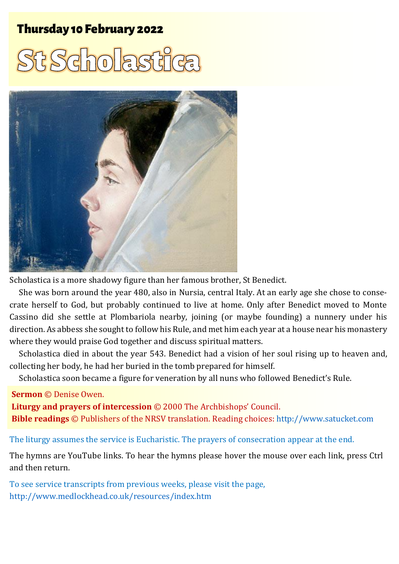## Thursday 10 February 2022 1 St Scholastic Scholastic Scholastic Scholastic Scholastic Scholastic Scholastic Sc

# t Scholastik



Scholastica is a more shadowy figure than her famous brother, St Benedict.

She was born around the year 480, also in Nursia, central Italy. At an early age she chose to consecrate herself to God, but probably continued to live at home. Only after Benedict moved to Monte Cassino did she settle at Plombariola nearby, joining (or maybe founding) a nunnery under his direction. As abbess she sought to follow his Rule, and met him each year at a house near his monastery where they would praise God together and discuss spiritual matters.

Scholastica died in about the year 543. Benedict had a vision of her soul rising up to heaven and, collecting her body, he had her buried in the tomb prepared for himself.

Scholastica soon became a figure for veneration by all nuns who followed Benedict's Rule.

#### **Sermon** © Denise Owen.

**Liturgy and prayers of intercession** © 2000 The Archbishops' Council. **Bible readings** © Publishers of the NRSV translation. Reading choices: [http://www.satucket.com](http://www.satucket.com/)

#### The liturgy assumes the service is Eucharistic. The prayers of consecration appear at the end.

The hymns are YouTube links. To hear the hymns please hover the mouse over each link, press Ctrl and then return.

To see service transcripts from previous weeks, please visit the page, <http://www.medlockhead.co.uk/resources/index.htm>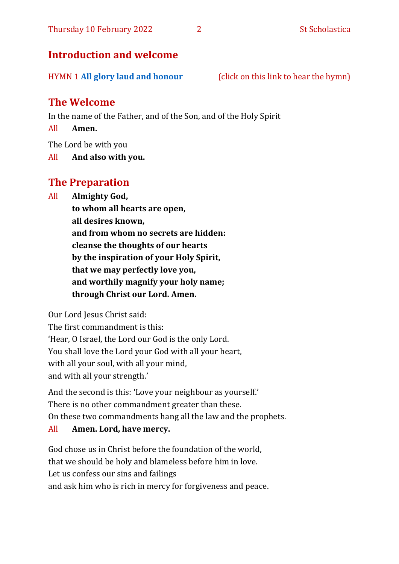## **Introduction and welcome**

HYMN 1 **[All glory laud and honour](https://www.youtube.com/watch?v=eBfJyjDolwA)** (click on this link to hear the hymn)

## **The Welcome**

In the name of the Father, and of the Son, and of the Holy Spirit

All **Amen.**

The Lord be with you

All **And also with you.**

## **The Preparation**

All **Almighty God,**

**to whom all hearts are open, all desires known, and from whom no secrets are hidden: cleanse the thoughts of our hearts by the inspiration of your Holy Spirit, that we may perfectly love you, and worthily magnify your holy name; through Christ our Lord. Amen.**

Our Lord Jesus Christ said:

The first commandment is this: 'Hear, O Israel, the Lord our God is the only Lord. You shall love the Lord your God with all your heart, with all your soul, with all your mind, and with all your strength.'

And the second is this: 'Love your neighbour as yourself.' There is no other commandment greater than these. On these two commandments hang all the law and the prophets.

## All **Amen. Lord, have mercy.**

God chose us in Christ before the foundation of the world, that we should be holy and blameless before him in love. Let us confess our sins and failings and ask him who is rich in mercy for forgiveness and peace.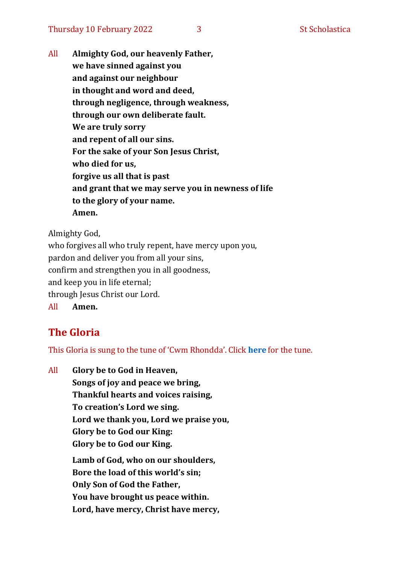All **Almighty God, our heavenly Father, we have sinned against you and against our neighbour in thought and word and deed, through negligence, through weakness, through our own deliberate fault. We are truly sorry and repent of all our sins. For the sake of your Son Jesus Christ, who died for us, forgive us all that is past and grant that we may serve you in newness of life to the glory of your name. Amen.**

Almighty God,

who forgives all who truly repent, have mercy upon you, pardon and deliver you from all your sins, confirm and strengthen you in all goodness, and keep you in life eternal; through Jesus Christ our Lord. All **Amen.**

## **The Gloria**

This Gloria is sung to the tune of 'Cwm Rhondda'. Click **[here](about:blank)** for the tune.

All **Glory be to God in Heaven, Songs of joy and peace we bring, Thankful hearts and voices raising, To creation's Lord we sing. Lord we thank you, Lord we praise you, Glory be to God our King: Glory be to God our King. Lamb of God, who on our shoulders, Bore the load of this world's sin; Only Son of God the Father, You have brought us peace within. Lord, have mercy, Christ have mercy,**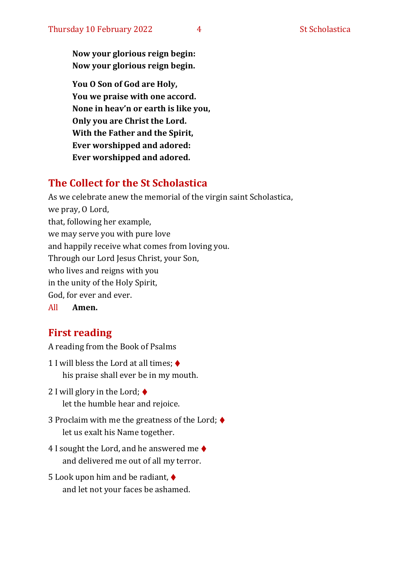**Now your glorious reign begin: Now your glorious reign begin.**

**You O Son of God are Holy, You we praise with one accord. None in heav'n or earth is like you, Only you are Christ the Lord. With the Father and the Spirit, Ever worshipped and adored: Ever worshipped and adored.**

## **The Collect for the St Scholastica**

As we celebrate anew the memorial of the virgin saint Scholastica, we pray, O Lord, that, following her example, we may serve you with pure love and happily receive what comes from loving you. Through our Lord Jesus Christ, your Son, who lives and reigns with you in the unity of the Holy Spirit, God, for ever and ever.

All **Amen.**

## **First reading**

A reading from the Book of Psalms

- 1 I will bless the Lord at all times;  $\blacklozenge$ his praise shall ever be in my mouth.
- 2 I will glory in the Lord;  $\triangleleft$ let the humble hear and rejoice.
- 3 Proclaim with me the greatness of the Lord; ♦ let us exalt his Name together.
- 4 I sought the Lord, and he answered me  $\blacklozenge$ and delivered me out of all my terror.
- 5 Look upon him and be radiant, ♦ and let not your faces be ashamed.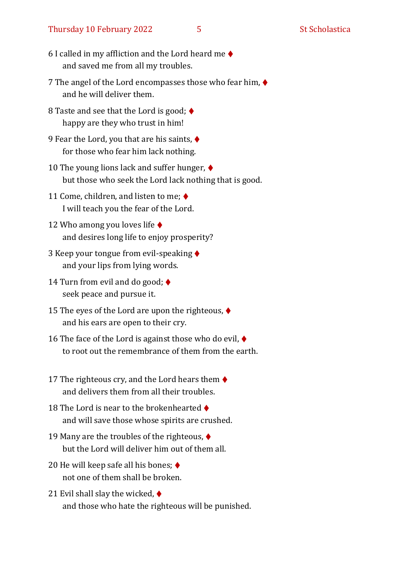#### Thursday 10 February 2022 5 5 St Scholastica

- 6 I called in my affliction and the Lord heard me  $\blacklozenge$ and saved me from all my troubles.
- 7 The angel of the Lord encompasses those who fear him, ♦ and he will deliver them.
- 8 Taste and see that the Lord is good;  $\blacklozenge$ happy are they who trust in him!
- 9 Fear the Lord, you that are his saints, ♦ for those who fear him lack nothing.
- 10 The young lions lack and suffer hunger, ♦ but those who seek the Lord lack nothing that is good.
- 11 Come, children, and listen to me;  $\blacklozenge$ I will teach you the fear of the Lord.
- 12 Who among you loves life ♦ and desires long life to enjoy prosperity?
- 3 Keep your tongue from evil-speaking ♦ and your lips from lying words.
- 14 Turn from evil and do good;  $\triangleleft$ seek peace and pursue it.
- 15 The eyes of the Lord are upon the righteous, ♦ and his ears are open to their cry.
- 16 The face of the Lord is against those who do evil,  $\blacklozenge$ to root out the remembrance of them from the earth.
- 17 The righteous cry, and the Lord hears them  $\blacklozenge$ and delivers them from all their troubles.
- 18 The Lord is near to the brokenhearted ♦ and will save those whose spirits are crushed.
- 19 Many are the troubles of the righteous,  $\blacklozenge$ but the Lord will deliver him out of them all.
- 20 He will keep safe all his bones;  $\triangleleft$ not one of them shall be broken.
- 21 Evil shall slay the wicked,  $\blacklozenge$ and those who hate the righteous will be punished.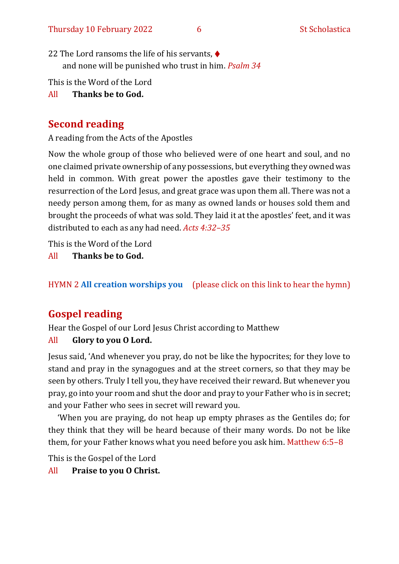- 22 The Lord ransoms the life of his servants, ♦ and none will be punished who trust in him. *Psalm 34*
- This is the Word of the Lord

## All **Thanks be to God.**

## **Second reading**

A reading from the Acts of the Apostles

Now the whole group of those who believed were of one heart and soul, and no one claimed private ownership of any possessions, but everything they owned was held in common. With great power the apostles gave their testimony to the resurrection of the Lord Jesus, and great grace was upon them all. There was not a needy person among them, for as many as owned lands or houses sold them and brought the proceeds of what was sold. They laid it at the apostles' feet, and it was distributed to each as any had need. *Acts 4:32–35*

This is the Word of the Lord

All **Thanks be to God.**

## HYMN 2 **[All creation worships you](https://www.youtube.com/watch?v=jE6GNhjS34A)** (please click on this link to hear the hymn)

## **Gospel reading**

Hear the Gospel of our Lord Jesus Christ according to Matthew

## All **Glory to you O Lord.**

Jesus said, 'And whenever you pray, do not be like the hypocrites; for they love to stand and pray in the synagogues and at the street corners, so that they may be seen by others. Truly I tell you, they have received their reward. But whenever you pray, go into your room and shut the door and pray to your Father who is in secret; and your Father who sees in secret will reward you.

'When you are praying, do not heap up empty phrases as the Gentiles do; for they think that they will be heard because of their many words. Do not be like them, for your Father knows what you need before you ask him. Matthew 6:5–8

This is the Gospel of the Lord

All **Praise to you O Christ.**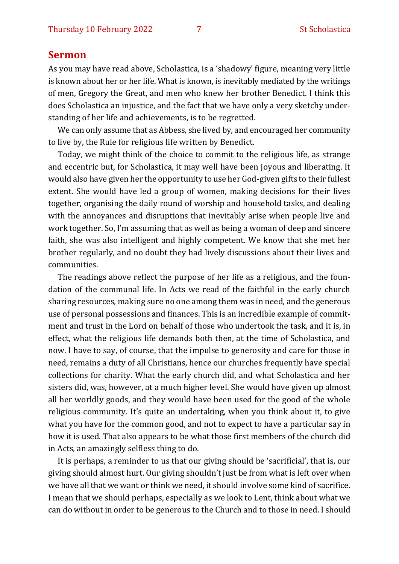#### **Sermon**

As you may have read above, Scholastica, is a 'shadowy' figure, meaning very little is known about her or her life. What is known, is inevitably mediated by the writings of men, Gregory the Great, and men who knew her brother Benedict. I think this does Scholastica an injustice, and the fact that we have only a very sketchy understanding of her life and achievements, is to be regretted.

We can only assume that as Abbess, she lived by, and encouraged her community to live by, the Rule for religious life written by Benedict.

Today, we might think of the choice to commit to the religious life, as strange and eccentric but, for Scholastica, it may well have been joyous and liberating. It would also have given her the opportunity to use her God-given gifts to their fullest extent. She would have led a group of women, making decisions for their lives together, organising the daily round of worship and household tasks, and dealing with the annoyances and disruptions that inevitably arise when people live and work together. So, I'm assuming that as well as being a woman of deep and sincere faith, she was also intelligent and highly competent. We know that she met her brother regularly, and no doubt they had lively discussions about their lives and communities.

The readings above reflect the purpose of her life as a religious, and the foundation of the communal life. In Acts we read of the faithful in the early church sharing resources, making sure no one among them was in need, and the generous use of personal possessions and finances. This is an incredible example of commitment and trust in the Lord on behalf of those who undertook the task, and it is, in effect, what the religious life demands both then, at the time of Scholastica, and now. I have to say, of course, that the impulse to generosity and care for those in need, remains a duty of all Christians, hence our churches frequently have special collections for charity. What the early church did, and what Scholastica and her sisters did, was, however, at a much higher level. She would have given up almost all her worldly goods, and they would have been used for the good of the whole religious community. It's quite an undertaking, when you think about it, to give what you have for the common good, and not to expect to have a particular say in how it is used. That also appears to be what those first members of the church did in Acts, an amazingly selfless thing to do.

It is perhaps, a reminder to us that our giving should be 'sacrificial', that is, our giving should almost hurt. Our giving shouldn't just be from what is left over when we have all that we want or think we need, it should involve some kind of sacrifice. I mean that we should perhaps, especially as we look to Lent, think about what we can do without in order to be generous to the Church and to those in need. I should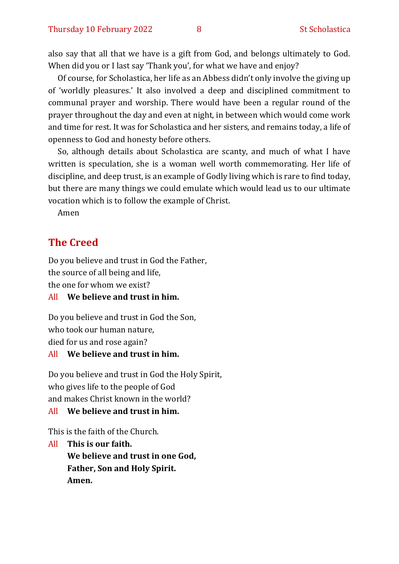also say that all that we have is a gift from God, and belongs ultimately to God. When did you or I last say 'Thank you', for what we have and enjoy?

Of course, for Scholastica, her life as an Abbess didn't only involve the giving up of 'worldly pleasures.' It also involved a deep and disciplined commitment to communal prayer and worship. There would have been a regular round of the prayer throughout the day and even at night, in between which would come work and time for rest. It was for Scholastica and her sisters, and remains today, a life of openness to God and honesty before others.

So, although details about Scholastica are scanty, and much of what I have written is speculation, she is a woman well worth commemorating. Her life of discipline, and deep trust, is an example of Godly living which is rare to find today, but there are many things we could emulate which would lead us to our ultimate vocation which is to follow the example of Christ.

Amen

## **The Creed**

Do you believe and trust in God the Father, the source of all being and life, the one for whom we exist?

All **We believe and trust in him.**

Do you believe and trust in God the Son, who took our human nature, died for us and rose again? All **We believe and trust in him.**

Do you believe and trust in God the Holy Spirit, who gives life to the people of God and makes Christ known in the world?

#### All **We believe and trust in him.**

This is the faith of the Church.

All **This is our faith. We believe and trust in one God, Father, Son and Holy Spirit. Amen.**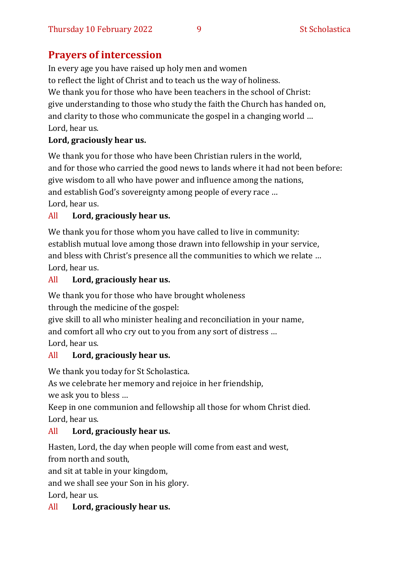## **Prayers of intercession**

In every age you have raised up holy men and women to reflect the light of Christ and to teach us the way of holiness. We thank you for those who have been teachers in the school of Christ: give understanding to those who study the faith the Church has handed on, and clarity to those who communicate the gospel in a changing world … Lord, hear us.

## **Lord, graciously hear us.**

We thank you for those who have been Christian rulers in the world, and for those who carried the good news to lands where it had not been before: give wisdom to all who have power and influence among the nations, and establish God's sovereignty among people of every race … Lord, hear us.

## All **Lord, graciously hear us.**

We thank you for those whom you have called to live in community: establish mutual love among those drawn into fellowship in your service, and bless with Christ's presence all the communities to which we relate … Lord, hear us.

## All **Lord, graciously hear us.**

We thank you for those who have brought wholeness

through the medicine of the gospel:

give skill to all who minister healing and reconciliation in your name, and comfort all who cry out to you from any sort of distress … Lord, hear us.

## All **Lord, graciously hear us.**

We thank you today for St Scholastica.

As we celebrate her memory and rejoice in her friendship, we ask you to bless …

Keep in one communion and fellowship all those for whom Christ died. Lord, hear us.

## All **Lord, graciously hear us.**

Hasten, Lord, the day when people will come from east and west, from north and south,

and sit at table in your kingdom,

and we shall see your Son in his glory.

Lord, hear us.

## All **Lord, graciously hear us.**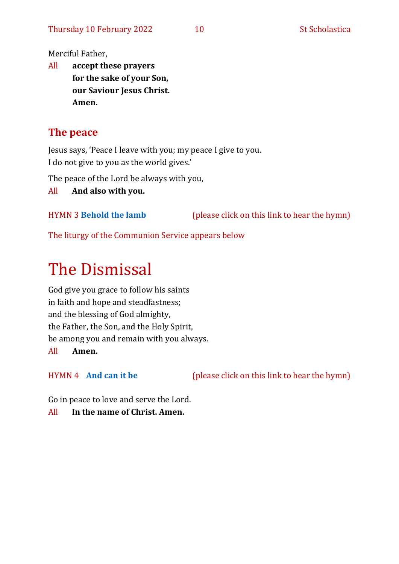Merciful Father,

All **accept these prayers for the sake of your Son, our Saviour Jesus Christ. Amen.**

## **The peace**

Jesus says, 'Peace I leave with you; my peace I give to you. I do not give to you as the world gives.'

The peace of the Lord be always with you,

All **And also with you.**

HYMN 3 **[Behold the lamb](https://www.youtube.com/watch?v=ACHPwx7EGQA)** (please click on this link to hear the hymn)

The liturgy of the Communion Service appears below

# The Dismissal

God give you grace to follow his saints in faith and hope and steadfastness; and the blessing of God almighty, the Father, the Son, and the Holy Spirit, be among you and remain with you always. All **Amen.**

HYMN 4 **[And can it be](https://www.youtube.com/watch?v=uzDes9IVdzg)** (please click on this link to hear the hymn)

Go in peace to love and serve the Lord. All **In the name of Christ. Amen.**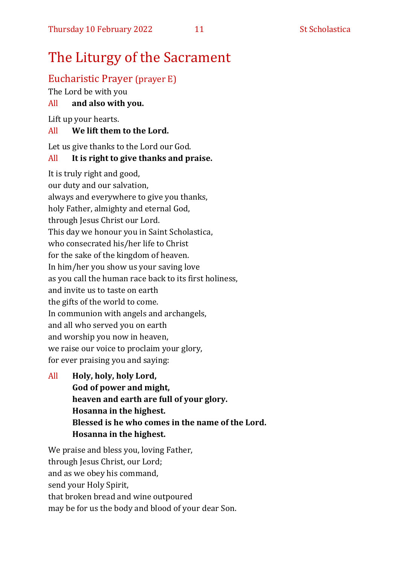## The Liturgy of the Sacrament

## Eucharistic Prayer (prayer E)

The Lord be with you

### All **and also with you.**

Lift up your hearts.

#### All **We lift them to the Lord.**

Let us give thanks to the Lord our God.

## All **It is right to give thanks and praise.**

It is truly right and good, our duty and our salvation, always and everywhere to give you thanks, holy Father, almighty and eternal God, through Jesus Christ our Lord. This day we honour you in Saint Scholastica, who consecrated his/her life to Christ for the sake of the kingdom of heaven. In him/her you show us your saving love as you call the human race back to its first holiness, and invite us to taste on earth the gifts of the world to come. In communion with angels and archangels, and all who served you on earth and worship you now in heaven, we raise our voice to proclaim your glory, for ever praising you and saying:

All **Holy, holy, holy Lord, God of power and might, heaven and earth are full of your glory. Hosanna in the highest. Blessed is he who comes in the name of the Lord. Hosanna in the highest.**

We praise and bless you, loving Father, through Jesus Christ, our Lord; and as we obey his command, send your Holy Spirit, that broken bread and wine outpoured may be for us the body and blood of your dear Son.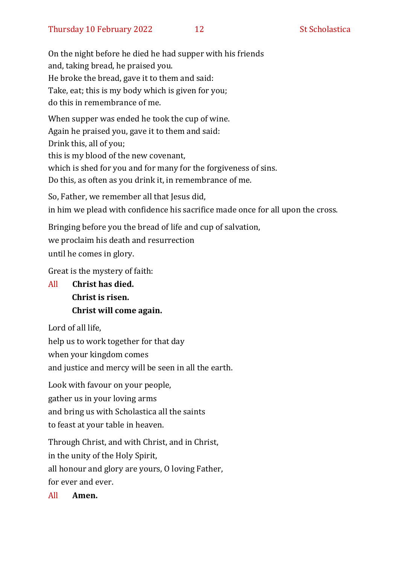On the night before he died he had supper with his friends and, taking bread, he praised you. He broke the bread, gave it to them and said: Take, eat; this is my body which is given for you; do this in remembrance of me.

When supper was ended he took the cup of wine. Again he praised you, gave it to them and said: Drink this, all of you; this is my blood of the new covenant, which is shed for you and for many for the forgiveness of sins. Do this, as often as you drink it, in remembrance of me.

So, Father, we remember all that Jesus did, in him we plead with confidence his sacrifice made once for all upon the cross.

Bringing before you the bread of life and cup of salvation, we proclaim his death and resurrection until he comes in glory.

Great is the mystery of faith:

All **Christ has died. Christ is risen. Christ will come again.**

Lord of all life,

help us to work together for that day

when your kingdom comes

and justice and mercy will be seen in all the earth.

Look with favour on your people, gather us in your loving arms

and bring us with Scholastica all the saints

to feast at your table in heaven.

Through Christ, and with Christ, and in Christ,

in the unity of the Holy Spirit,

all honour and glory are yours, O loving Father,

for ever and ever.

All **Amen.**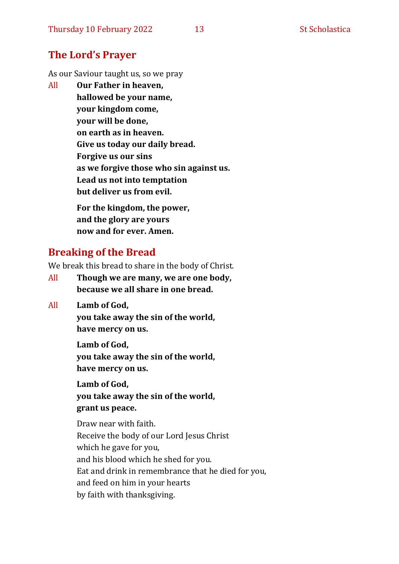## **The Lord's Prayer**

As our Saviour taught us, so we pray

All **Our Father in heaven, hallowed be your name, your kingdom come, your will be done, on earth as in heaven. Give us today our daily bread. Forgive us our sins as we forgive those who sin against us. Lead us not into temptation but deliver us from evil. For the kingdom, the power,** 

**and the glory are yours now and for ever. Amen.**

## **Breaking of the Bread**

We break this bread to share in the body of Christ.

- All **Though we are many, we are one body, because we all share in one bread.**
- All **Lamb of God,**

**you take away the sin of the world, have mercy on us.**

**Lamb of God, you take away the sin of the world, have mercy on us.**

**Lamb of God, you take away the sin of the world, grant us peace.**

Draw near with faith. Receive the body of our Lord Jesus Christ which he gave for you, and his blood which he shed for you. Eat and drink in remembrance that he died for you, and feed on him in your hearts by faith with thanksgiving.